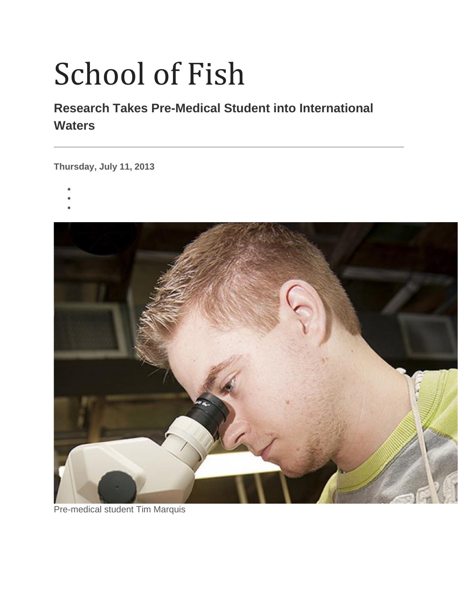## School of Fish

## **Research Takes Pre-Medical Student into International Waters**

**Thursday, July 11, 2013**

- •
- •
- •



Pre-medical student Tim Marquis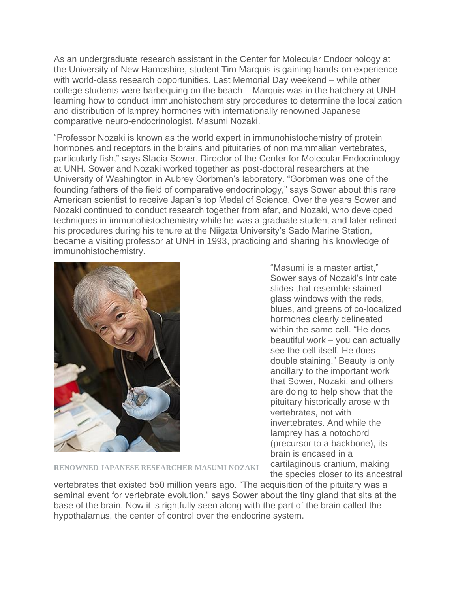As an undergraduate research assistant in the Center for Molecular Endocrinology at the University of New Hampshire, student Tim Marquis is gaining hands-on experience with world-class research opportunities. Last Memorial Day weekend – while other college students were barbequing on the beach – Marquis was in the hatchery at UNH learning how to conduct immunohistochemistry procedures to determine the localization and distribution of lamprey hormones with internationally renowned Japanese comparative neuro-endocrinologist, Masumi Nozaki.

"Professor Nozaki is known as the world expert in immunohistochemistry of protein hormones and receptors in the brains and pituitaries of non mammalian vertebrates, particularly fish," says Stacia Sower, Director of the Center for Molecular Endocrinology at UNH. Sower and Nozaki worked together as post-doctoral researchers at the University of Washington in Aubrey Gorbman's laboratory. "Gorbman was one of the founding fathers of the field of comparative endocrinology," says Sower about this rare American scientist to receive Japan's top Medal of Science. Over the years Sower and Nozaki continued to conduct research together from afar, and Nozaki, who developed techniques in immunohistochemistry while he was a graduate student and later refined his procedures during his tenure at the Niigata University's Sado Marine Station, became a visiting professor at UNH in 1993, practicing and sharing his knowledge of immunohistochemistry.



"Masumi is a master artist," Sower says of Nozaki's intricate slides that resemble stained glass windows with the reds, blues, and greens of co-localized hormones clearly delineated within the same cell. "He does beautiful work – you can actually see the cell itself. He does double staining." Beauty is only ancillary to the important work that Sower, Nozaki, and others are doing to help show that the pituitary historically arose with vertebrates, not with invertebrates. And while the lamprey has a notochord (precursor to a backbone), its brain is encased in a cartilaginous cranium, making the species closer to its ancestral

**RENOWNED JAPANESE RESEARCHER MASUMI NOZAKI**

vertebrates that existed 550 million years ago. "The acquisition of the pituitary was a seminal event for vertebrate evolution," says Sower about the tiny gland that sits at the base of the brain. Now it is rightfully seen along with the part of the brain called the hypothalamus, the center of control over the endocrine system.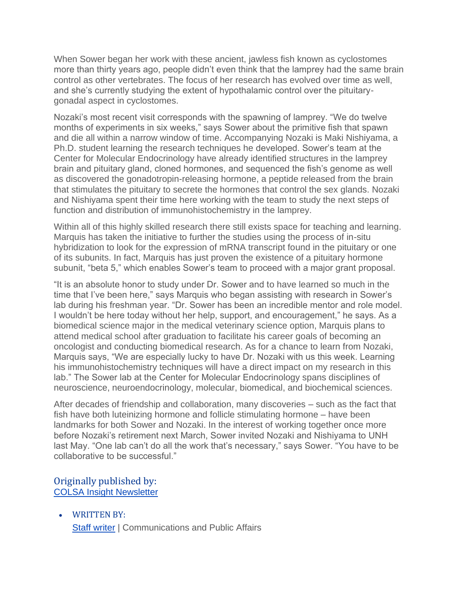When Sower began her work with these ancient, jawless fish known as cyclostomes more than thirty years ago, people didn't even think that the lamprey had the same brain control as other vertebrates. The focus of her research has evolved over time as well, and she's currently studying the extent of hypothalamic control over the pituitarygonadal aspect in cyclostomes.

Nozaki's most recent visit corresponds with the spawning of lamprey. "We do twelve months of experiments in six weeks," says Sower about the primitive fish that spawn and die all within a narrow window of time. Accompanying Nozaki is Maki Nishiyama, a Ph.D. student learning the research techniques he developed. Sower's team at the Center for Molecular Endocrinology have already identified structures in the lamprey brain and pituitary gland, cloned hormones, and sequenced the fish's genome as well as discovered the gonadotropin-releasing hormone, a peptide released from the brain that stimulates the pituitary to secrete the hormones that control the sex glands. Nozaki and Nishiyama spent their time here working with the team to study the next steps of function and distribution of immunohistochemistry in the lamprey.

Within all of this highly skilled research there still exists space for teaching and learning. Marquis has taken the initiative to further the studies using the process of in-situ hybridization to look for the expression of mRNA transcript found in the pituitary or one of its subunits. In fact, Marquis has just proven the existence of a pituitary hormone subunit, "beta 5," which enables Sower's team to proceed with a major grant proposal.

"It is an absolute honor to study under Dr. Sower and to have learned so much in the time that I've been here," says Marquis who began assisting with research in Sower's lab during his freshman year. "Dr. Sower has been an incredible mentor and role model. I wouldn't be here today without her help, support, and encouragement," he says. As a biomedical science major in the medical veterinary science option, Marquis plans to attend medical school after graduation to facilitate his career goals of becoming an oncologist and conducting biomedical research. As for a chance to learn from Nozaki, Marquis says, "We are especially lucky to have Dr. Nozaki with us this week. Learning his immunohistochemistry techniques will have a direct impact on my research in this lab." The Sower lab at the Center for Molecular Endocrinology spans disciplines of neuroscience, neuroendocrinology, molecular, biomedical, and biochemical sciences.

After decades of friendship and collaboration, many discoveries – such as the fact that fish have both luteinizing hormone and follicle stimulating hormone – have been landmarks for both Sower and Nozaki. In the interest of working together once more before Nozaki's retirement next March, Sower invited Nozaki and Nishiyama to UNH last May. "One lab can't do all the work that's necessary," says Sower. "You have to be collaborative to be successful."

## Originally published by: [COLSA Insight Newsletter](http://colsa.unh.edu/newsletter)

• WRITTEN BY: [Staff writer](https://www.unh.edu/unhtoday/contributor/staff-writer) | Communications and Public Affairs